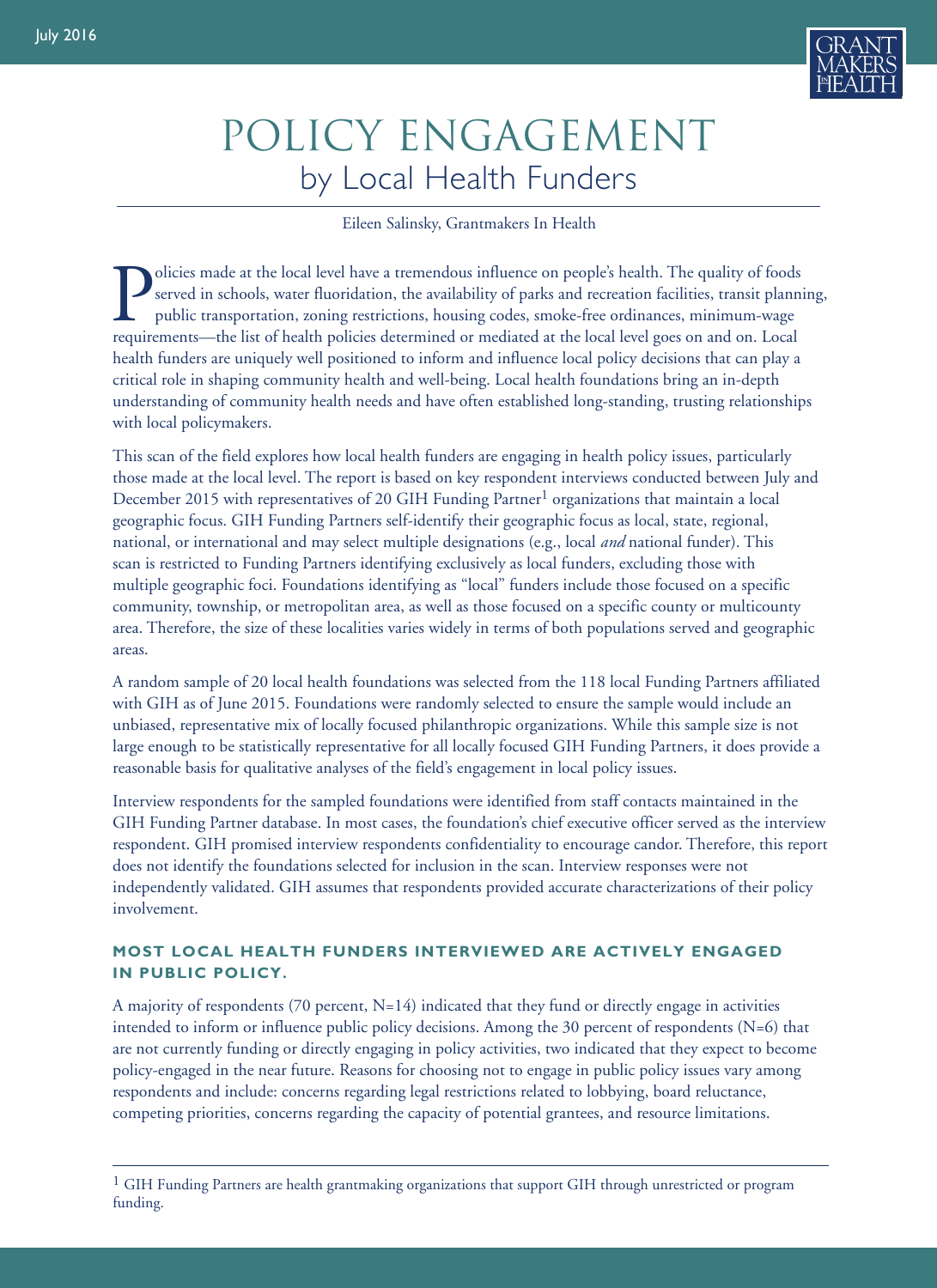

# POLICY ENGAGEMENT by Local Health Funders

Eileen Salinsky, Grantmakers In Health

policies made at the local level have a tremendous influence on people's health. The quality of foods served in schools, water fluoridation, the availability of parks and recreation facilities, transit plann public transpo served in schools, water fluoridation, the availability of parks and recreation facilities, transit planning, public transportation, zoning restrictions, housing codes, smoke-free ordinances, minimum-wage requirements—the list of health policies determined or mediated at the local level goes on and on. Local health funders are uniquely well positioned to inform and influence local policy decisions that can play a critical role in shaping community health and well-being. Local health foundations bring an in-depth understanding of community health needs and have often established long-standing, trusting relationships with local policymakers.

This scan of the field explores how local health funders are engaging in health policy issues, particularly those made at the local level. The report is based on key respondent interviews conducted between July and December 2015 with representatives of 20 GIH Funding Partner<sup>1</sup> organizations that maintain a local geographic focus. GIH Funding Partners self-identify their geographic focus as local, state, regional, national, or international and may select multiple designations (e.g., local *and* national funder). This scan is restricted to Funding Partners identifying exclusively as local funders, excluding those with multiple geographic foci. Foundations identifying as "local" funders include those focused on a specific community, township, or metropolitan area, as well as those focused on a specific county or multicounty area. Therefore, the size of these localities varies widely in terms of both populations served and geographic areas.

A random sample of 20 local health foundations was selected from the 118 local Funding Partners affiliated with GIH as of June 2015. Foundations were randomly selected to ensure the sample would include an unbiased, representative mix of locally focused philanthropic organizations. While this sample size is not large enough to be statistically representative for all locally focused GIH Funding Partners, it does provide a reasonable basis for qualitative analyses of the field's engagement in local policy issues.

Interview respondents for the sampled foundations were identified from staff contacts maintained in the GIH Funding Partner database. In most cases, the foundation's chief executive officer served as the interview respondent. GIH promised interview respondents confidentiality to encourage candor. Therefore, this report does not identify the foundations selected for inclusion in the scan. Interview responses were not independently validated. GIH assumes that respondents provided accurate characterizations of their policy involvement.

# **MOST LOCAL HEALTH FUNDERS INTERVIEWED ARE ACTIVELY ENGAGED IN PUBLIC POLICY.**

A majority of respondents (70 percent,  $N=14$ ) indicated that they fund or directly engage in activities intended to inform or influence public policy decisions. Among the 30 percent of respondents (N=6) that are not currently funding or directly engaging in policy activities, two indicated that they expect to become policy-engaged in the near future. Reasons for choosing not to engage in public policy issues vary among respondents and include: concerns regarding legal restrictions related to lobbying, board reluctance, competing priorities, concerns regarding the capacity of potential grantees, and resource limitations.

 $1$  GIH Funding Partners are health grantmaking organizations that support GIH through unrestricted or program funding.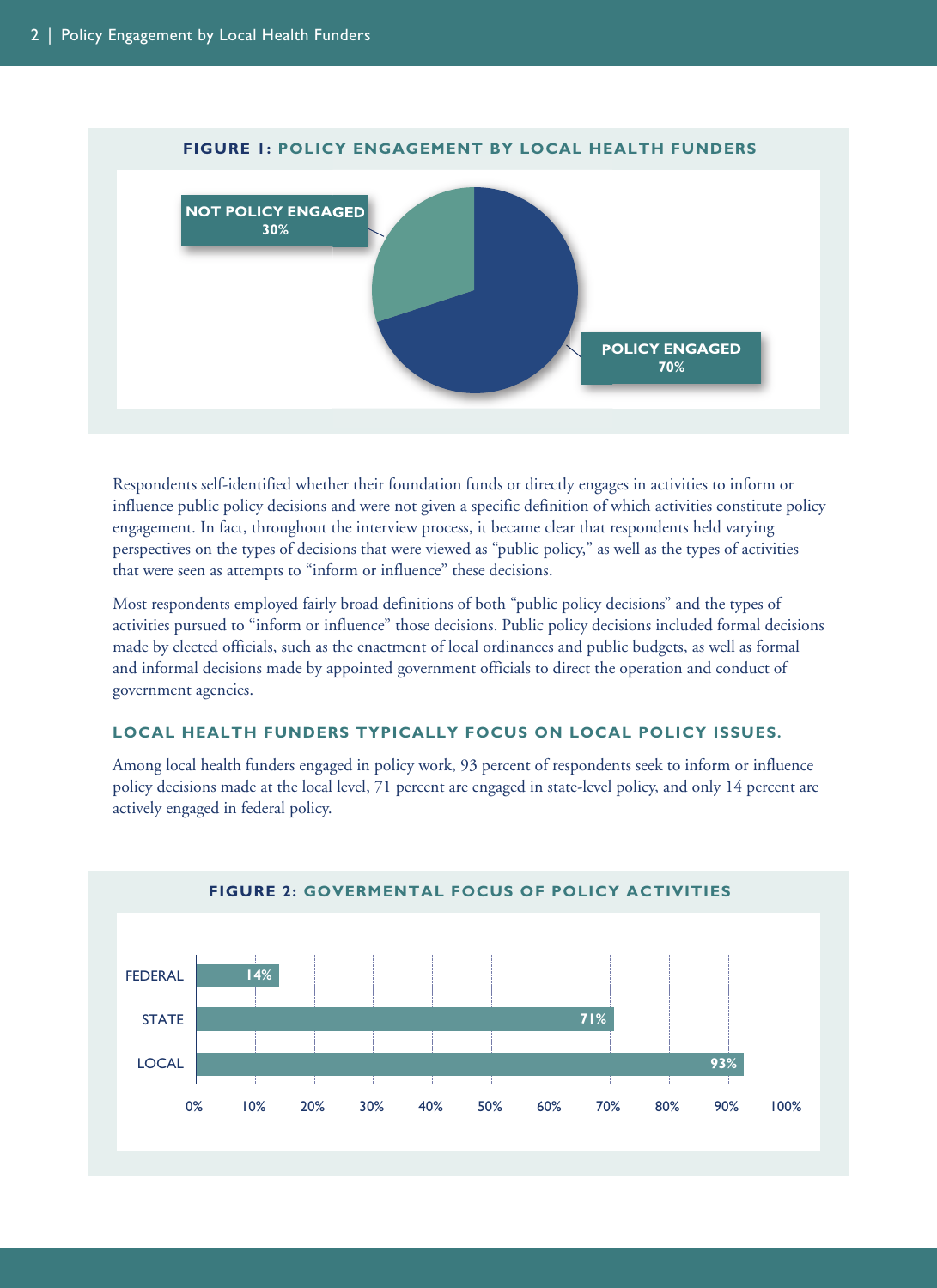

#### **FIGURE 1: POLICY ENGAGEMENT BY LOCAL HEALTH FUNDERS**

Respondents self-identified whether their foundation funds or directly engages in activities to inform or influence public policy decisions and were not given a specific definition of which activities constitute policy engagement. In fact, throughout the interview process, it became clear that respondents held varying perspectives on the types of decisions that were viewed as "public policy," as well as the types of activities that were seen as attempts to "inform or influence" these decisions.

Most respondents employed fairly broad definitions of both "public policy decisions" and the types of activities pursued to "inform or influence" those decisions. Public policy decisions included formal decisions made by elected officials, such as the enactment of local ordinances and public budgets, as well as formal and informal decisions made by appointed government officials to direct the operation and conduct of government agencies.

#### **LOCAL HEALTH FUNDERS TYPICALLY FOCUS ON LOCAL POLICY ISSUES.**

Among local health funders engaged in policy work, 93 percent of respondents seek to inform or influence policy decisions made at the local level, 71 percent are engaged in state-level policy, and only 14 percent are actively engaged in federal policy.



#### **FIGURE 2: GOVERMENTAL FOCUS OF POLICY ACTIVITIES**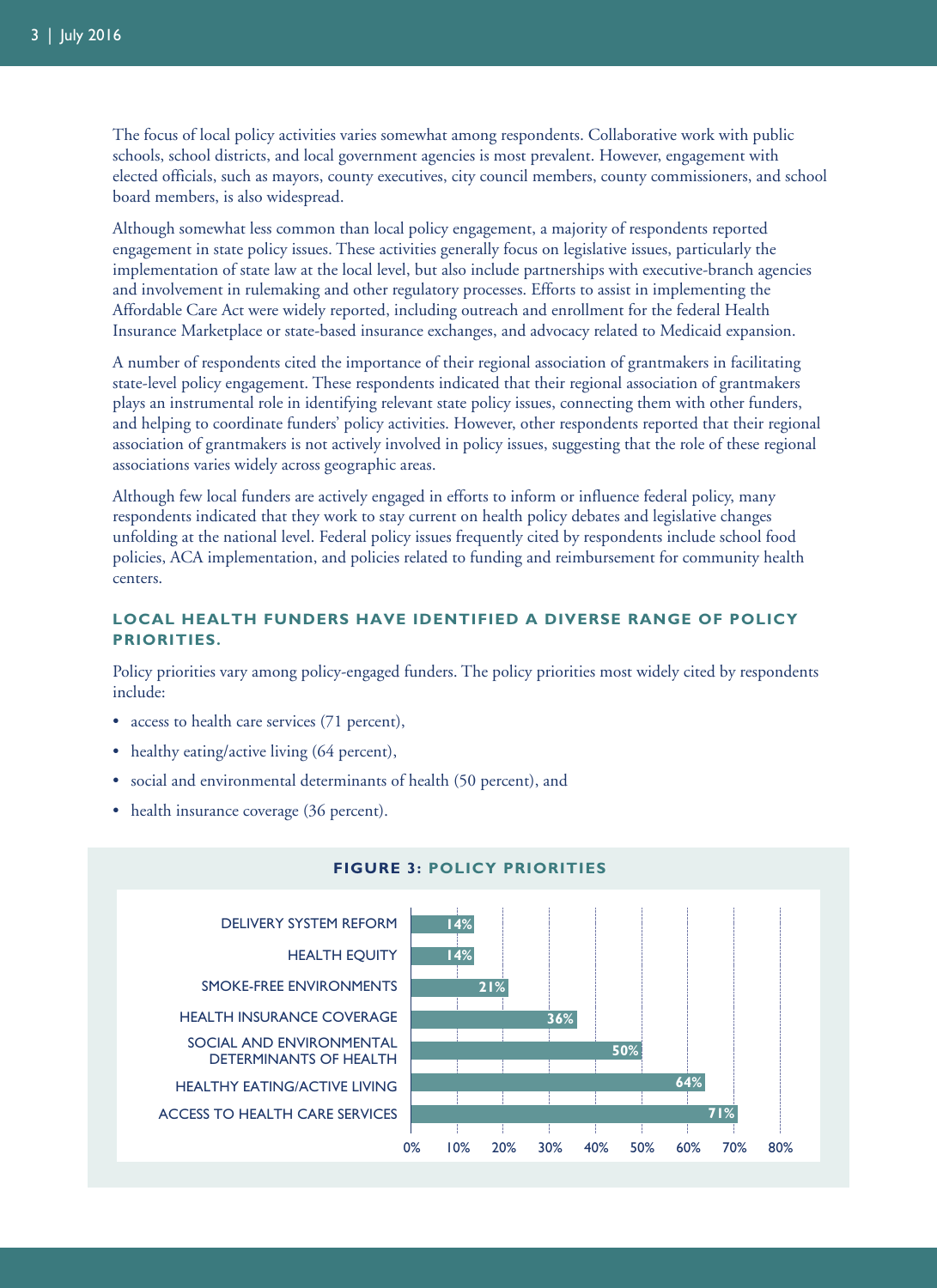The focus of local policy activities varies somewhat among respondents. Collaborative work with public schools, school districts, and local government agencies is most prevalent. However, engagement with elected officials, such as mayors, county executives, city council members, county commissioners, and school board members, is also widespread.

Although somewhat less common than local policy engagement, a majority of respondents reported engagement in state policy issues. These activities generally focus on legislative issues, particularly the implementation of state law at the local level, but also include partnerships with executive-branch agencies and involvement in rulemaking and other regulatory processes. Efforts to assist in implementing the Affordable Care Act were widely reported, including outreach and enrollment for the federal Health Insurance Marketplace or state-based insurance exchanges, and advocacy related to Medicaid expansion.

A number of respondents cited the importance of their regional association of grantmakers in facilitating state-level policy engagement. These respondents indicated that their regional association of grantmakers plays an instrumental role in identifying relevant state policy issues, connecting them with other funders, and helping to coordinate funders' policy activities. However, other respondents reported that their regional association of grantmakers is not actively involved in policy issues, suggesting that the role of these regional associations varies widely across geographic areas.

Although few local funders are actively engaged in efforts to inform or influence federal policy, many respondents indicated that they work to stay current on health policy debates and legislative changes unfolding at the national level. Federal policy issues frequently cited by respondents include school food policies, ACA implementation, and policies related to funding and reimbursement for community health centers.

## **LOCAL HEALTH FUNDERS HAVE IDENTIFIED A DIVERSE RANGE OF POLICY PRIORITIES.**

Policy priorities vary among policy-engaged funders. The policy priorities most widely cited by respondents include:

- access to health care services (71 percent),
- healthy eating/active living (64 percent),
- social and environmental determinants of health (50 percent), and
- health insurance coverage (36 percent).



#### **FIGURE 3: POLICY PRIORITIES**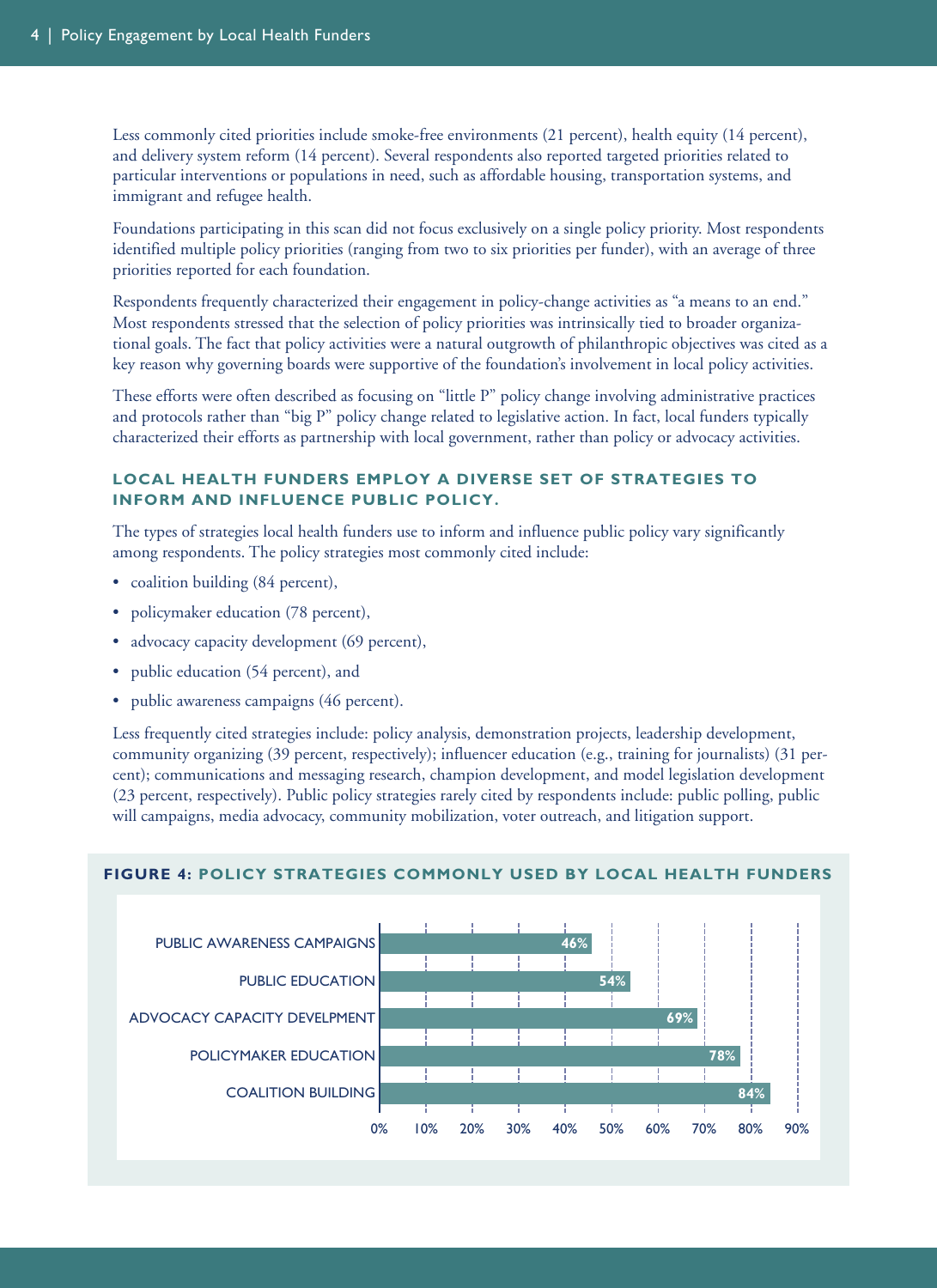Less commonly cited priorities include smoke-free environments (21 percent), health equity (14 percent), and delivery system reform (14 percent). Several respondents also reported targeted priorities related to particular interventions or populations in need, such as affordable housing, transportation systems, and immigrant and refugee health.

Foundations participating in this scan did not focus exclusively on a single policy priority. Most respondents identified multiple policy priorities (ranging from two to six priorities per funder), with an average of three priorities reported for each foundation.

Respondents frequently characterized their engagement in policy-change activities as "a means to an end." Most respondents stressed that the selection of policy priorities was intrinsically tied to broader organizational goals. The fact that policy activities were a natural outgrowth of philanthropic objectives was cited as a key reason why governing boards were supportive of the foundation's involvement in local policy activities.

These efforts were often described as focusing on "little P" policy change involving administrative practices and protocols rather than "big P" policy change related to legislative action. In fact, local funders typically characterized their efforts as partnership with local government, rather than policy or advocacy activities.

### **LOCAL HEALTH FUNDERS EMPLOY A DIVERSE SET OF STRATEGIES TO INFORM AND INFLUENCE PUBLIC POLICY.**

The types of strategies local health funders use to inform and influence public policy vary significantly among respondents. The policy strategies most commonly cited include:

- coalition building (84 percent),
- policymaker education (78 percent),
- advocacy capacity development (69 percent),
- public education (54 percent), and
- public awareness campaigns (46 percent).

Less frequently cited strategies include: policy analysis, demonstration projects, leadership development, community organizing (39 percent, respectively); influencer education (e.g., training for journalists) (31 percent); communications and messaging research, champion development, and model legislation development (23 percent, respectively). Public policy strategies rarely cited by respondents include: public polling, public will campaigns, media advocacy, community mobilization, voter outreach, and litigation support.



#### **FIGURE 4: POLICY STRATEGIES COMMONLY USED BY LOCAL HEALTH FUNDERS**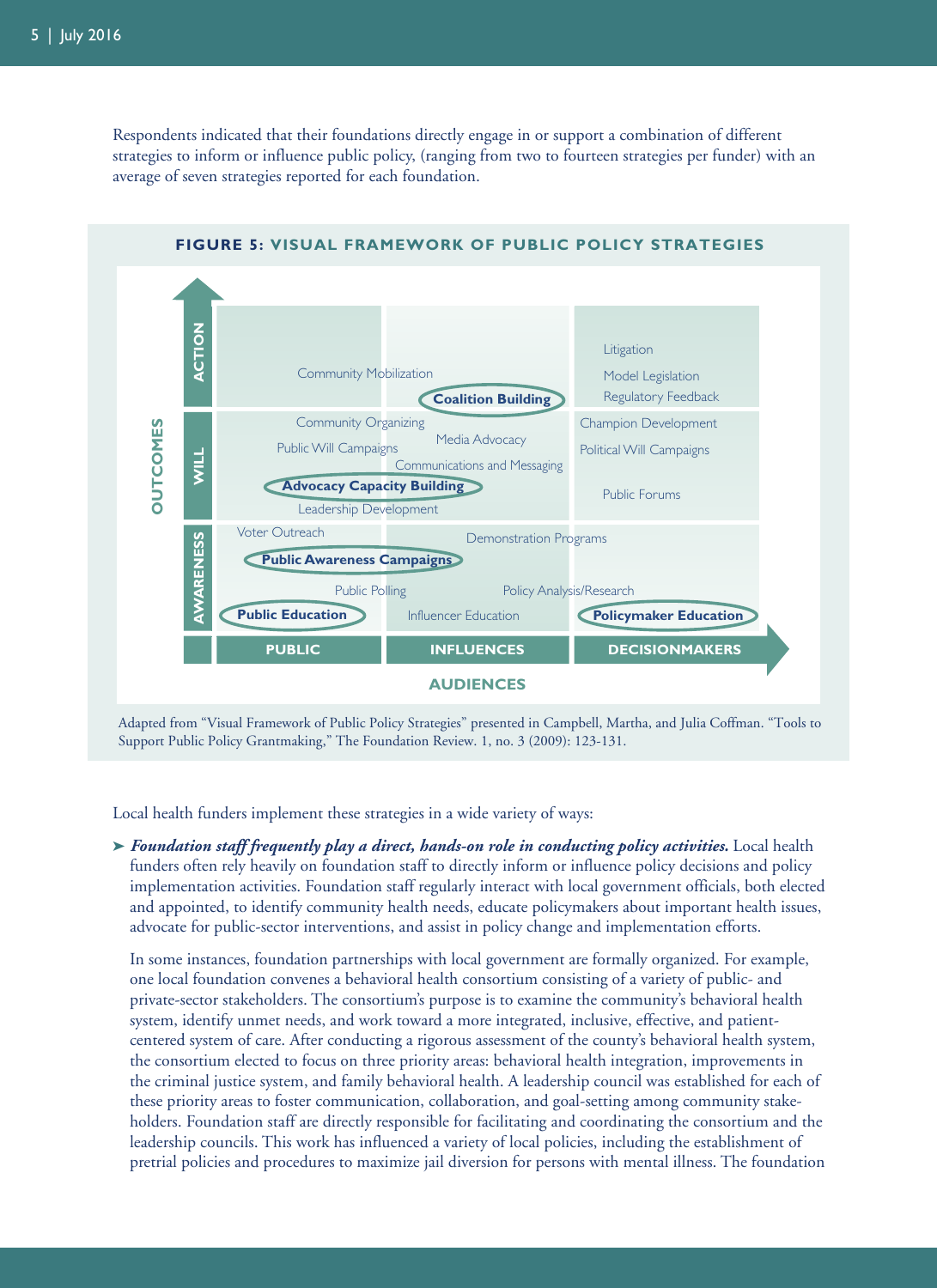Respondents indicated that their foundations directly engage in or support a combination of different strategies to inform or influence public policy, (ranging from two to fourteen strategies per funder) with an average of seven strategies reported for each foundation.



**FIGURE 5: VISUAL FRAMEWORK OF PUBLIC POLICY STRATEGIES**

Adapted from "Visual Framework of Public Policy Strategies" presented in Campbell, Martha, and Julia Coffman. "Tools to Support Public Policy Grantmaking," The Foundation Review. 1, no. 3 (2009): 123-131.

Local health funders implement these strategies in a wide variety of ways:

**➤** *Foundation staff frequently play a direct, hands-on role in conducting policy activities.* Local health funders often rely heavily on foundation staff to directly inform or influence policy decisions and policy implementation activities. Foundation staff regularly interact with local government officials, both elected and appointed, to identify community health needs, educate policymakers about important health issues, advocate for public-sector interventions, and assist in policy change and implementation efforts.

In some instances, foundation partnerships with local government are formally organized. For example, one local foundation convenes a behavioral health consortium consisting of a variety of public- and private-sector stakeholders. The consortium's purpose is to examine the community's behavioral health system, identify unmet needs, and work toward a more integrated, inclusive, effective, and patientcentered system of care. After conducting a rigorous assessment of the county's behavioral health system, the consortium elected to focus on three priority areas: behavioral health integration, improvements in the criminal justice system, and family behavioral health. A leadership council was established for each of these priority areas to foster communication, collaboration, and goal-setting among community stakeholders. Foundation staff are directly responsible for facilitating and coordinating the consortium and the leadership councils. This work has influenced a variety of local policies, including the establishment of pretrial policies and procedures to maximize jail diversion for persons with mental illness. The foundation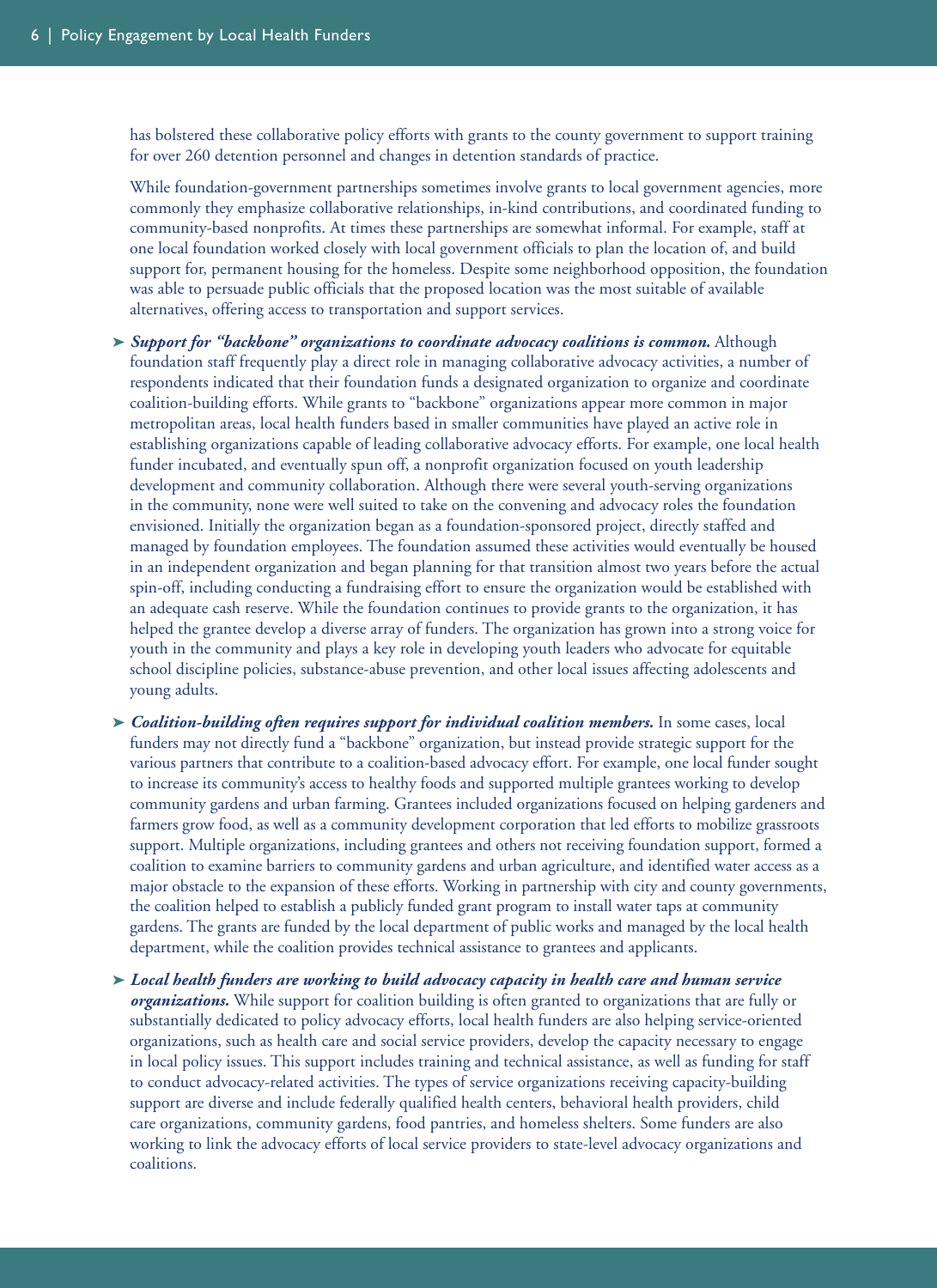has bolstered these collaborative policy efforts with grants to the county government to support training for over 260 detention personnel and changes in detention standards of practice.

While foundation-government partnerships sometimes involve grants to local government agencies, more commonly they emphasize collaborative relationships, in-kind contributions, and coordinated funding to community-based nonprofits. At times these partnerships are somewhat informal. For example, staff at one local foundation worked closely with local government officials to plan the location of, and build support for, permanent housing for the homeless. Despite some neighborhood opposition, the foundation was able to persuade public officials that the proposed location was the most suitable of available alternatives, offering access to transportation and support services.

- **➤** *Support for "backbone" organizations to coordinate advocacy coalitions is common.* Although foundation staff frequently play a direct role in managing collaborative advocacy activities, a number of respondents indicated that their foundation funds a designated organization to organize and coordinate coalition-building efforts. While grants to "backbone" organizations appear more common in major metropolitan areas, local health funders based in smaller communities have played an active role in establishing organizations capable of leading collaborative advocacy efforts. For example, one local health funder incubated, and eventually spun off, a nonprofit organization focused on youth leadership development and community collaboration. Although there were several youth-serving organizations in the community, none were well suited to take on the convening and advocacy roles the foundation envisioned. Initially the organization began as a foundation-sponsored project, directly staffed and managed by foundation employees. The foundation assumed these activities would eventually be housed in an independent organization and began planning for that transition almost two years before the actual spin-off, including conducting a fundraising effort to ensure the organization would be established with an adequate cash reserve. While the foundation continues to provide grants to the organization, it has helped the grantee develop a diverse array of funders. The organization has grown into a strong voice for youth in the community and plays a key role in developing youth leaders who advocate for equitable school discipline policies, substance-abuse prevention, and other local issues affecting adolescents and young adults.
- **➤** *Coalition-building often requires support for individual coalition members.* In some cases, local funders may not directly fund a "backbone" organization, but instead provide strategic support for the various partners that contribute to a coalition-based advocacy effort. For example, one local funder sought to increase its community's access to healthy foods and supported multiple grantees working to develop community gardens and urban farming. Grantees included organizations focused on helping gardeners and farmers grow food, as well as a community development corporation that led efforts to mobilize grassroots support. Multiple organizations, including grantees and others not receiving foundation support, formed a coalition to examine barriers to community gardens and urban agriculture, and identified water access as a major obstacle to the expansion of these efforts. Working in partnership with city and county governments, the coalition helped to establish a publicly funded grant program to install water taps at community gardens. The grants are funded by the local department of public works and managed by the local health department, while the coalition provides technical assistance to grantees and applicants.
- **➤** *Local health funders are working to build advocacy capacity in health care and human service organizations.* While support for coalition building is often granted to organizations that are fully or substantially dedicated to policy advocacy efforts, local health funders are also helping service-oriented organizations, such as health care and social service providers, develop the capacity necessary to engage in local policy issues. This support includes training and technical assistance, as well as funding for staff to conduct advocacy-related activities. The types of service organizations receiving capacity-building support are diverse and include federally qualified health centers, behavioral health providers, child care organizations, community gardens, food pantries, and homeless shelters. Some funders are also working to link the advocacy efforts of local service providers to state-level advocacy organizations and coalitions.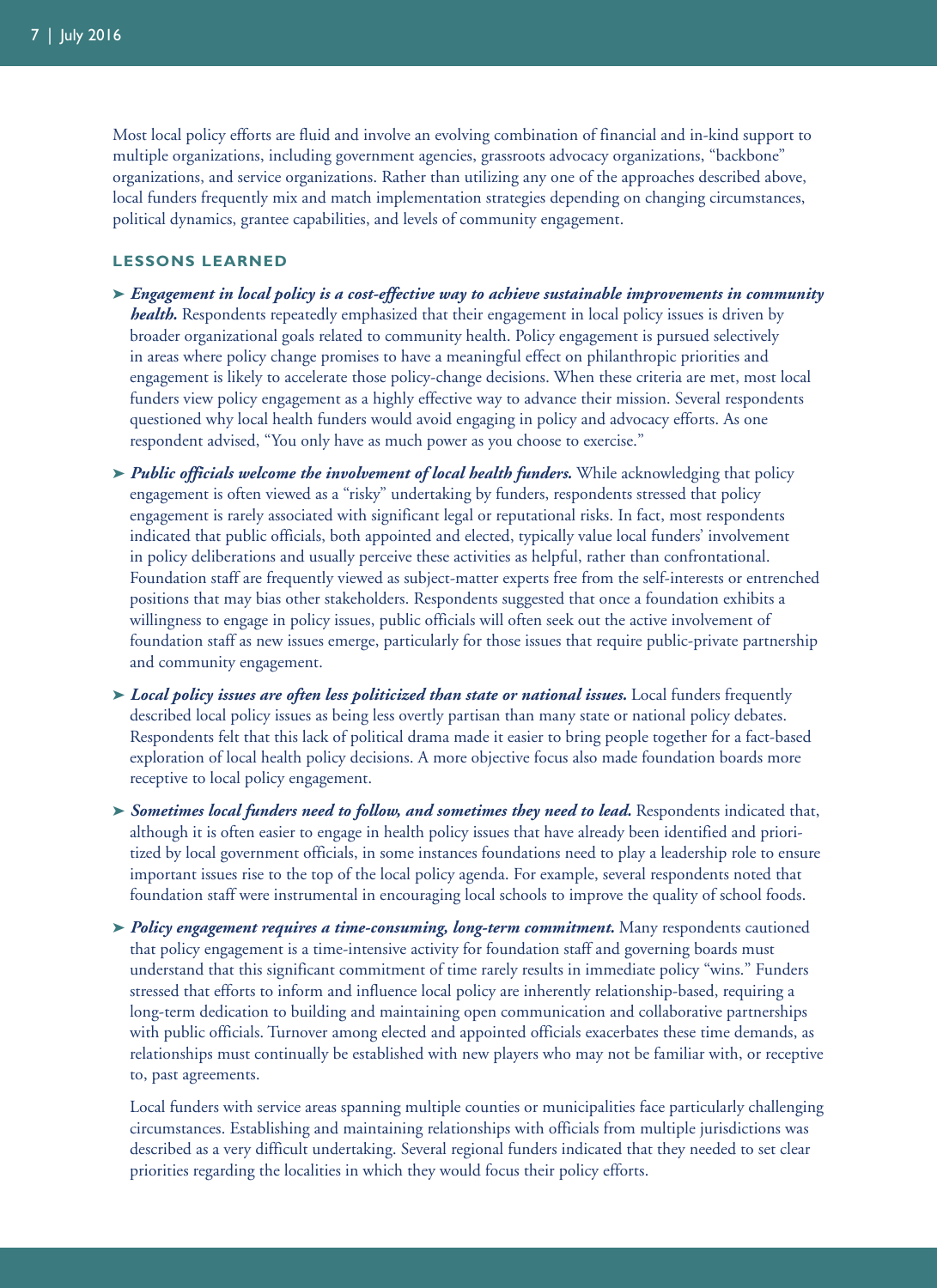Most local policy efforts are fluid and involve an evolving combination of financial and in-kind support to multiple organizations, including government agencies, grassroots advocacy organizations, "backbone" organizations, and service organizations. Rather than utilizing any one of the approaches described above, local funders frequently mix and match implementation strategies depending on changing circumstances, political dynamics, grantee capabilities, and levels of community engagement.

### **LESSONS LEARNED**

- **➤** *Engagement in local policy is a cost-effective way to achieve sustainable improvements in community health.* Respondents repeatedly emphasized that their engagement in local policy issues is driven by broader organizational goals related to community health. Policy engagement is pursued selectively in areas where policy change promises to have a meaningful effect on philanthropic priorities and engagement is likely to accelerate those policy-change decisions. When these criteria are met, most local funders view policy engagement as a highly effective way to advance their mission. Several respondents questioned why local health funders would avoid engaging in policy and advocacy efforts. As one respondent advised, "You only have as much power as you choose to exercise."
- **➤** *Public officials welcome the involvement of local health funders.* While acknowledging that policy engagement is often viewed as a "risky" undertaking by funders, respondents stressed that policy engagement is rarely associated with significant legal or reputational risks. In fact, most respondents indicated that public officials, both appointed and elected, typically value local funders' involvement in policy deliberations and usually perceive these activities as helpful, rather than confrontational. Foundation staff are frequently viewed as subject-matter experts free from the self-interests or entrenched positions that may bias other stakeholders. Respondents suggested that once a foundation exhibits a willingness to engage in policy issues, public officials will often seek out the active involvement of foundation staff as new issues emerge, particularly for those issues that require public-private partnership and community engagement.
- **➤** *Local policy issues are often less politicized than state or national issues.* Local funders frequently described local policy issues as being less overtly partisan than many state or national policy debates. Respondents felt that this lack of political drama made it easier to bring people together for a fact-based exploration of local health policy decisions. A more objective focus also made foundation boards more receptive to local policy engagement.
- **➤** *Sometimes local funders need to follow, and sometimes they need to lead.* Respondents indicated that, although it is often easier to engage in health policy issues that have already been identified and prioritized by local government officials, in some instances foundations need to play a leadership role to ensure important issues rise to the top of the local policy agenda. For example, several respondents noted that foundation staff were instrumental in encouraging local schools to improve the quality of school foods.
- **➤** *Policy engagement requires a time-consuming, long-term commitment.* Many respondents cautioned that policy engagement is a time-intensive activity for foundation staff and governing boards must understand that this significant commitment of time rarely results in immediate policy "wins." Funders stressed that efforts to inform and influence local policy are inherently relationship-based, requiring a long-term dedication to building and maintaining open communication and collaborative partnerships with public officials. Turnover among elected and appointed officials exacerbates these time demands, as relationships must continually be established with new players who may not be familiar with, or receptive to, past agreements.

Local funders with service areas spanning multiple counties or municipalities face particularly challenging circumstances. Establishing and maintaining relationships with officials from multiple jurisdictions was described as a very difficult undertaking. Several regional funders indicated that they needed to set clear priorities regarding the localities in which they would focus their policy efforts.